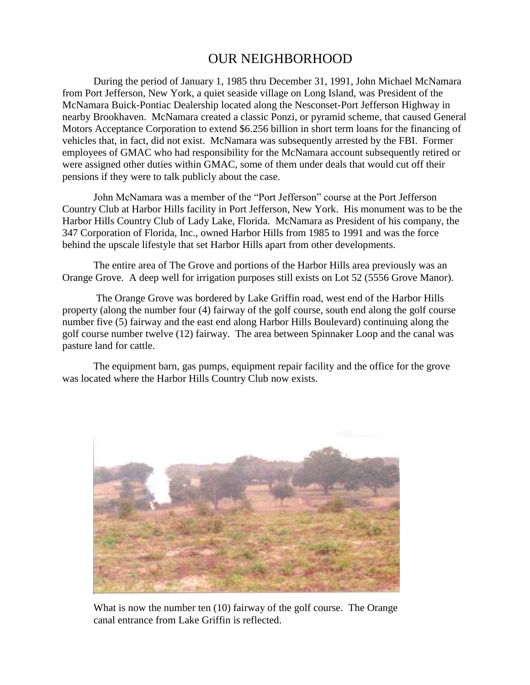## OUR NEIGHBORHOOD

During the period of January 1, 1985 thru December 31, 1991, John Michael McNamara from Port Jefferson, New York, a quiet seaside village on Long Island, was President of the McNamara Buick-Pontiac Dealership located along the Nesconset-Port Jefferson Highway in nearby Brookhaven. McNamara created a classic Ponzi, or pyramid scheme, that caused General Motors Acceptance Corporation to extend \$6.256 billion in short term loans for the financing of vehicles that, in fact, did not exist. McNamara was subsequently arrested by the FBI. Former employees of GMAC who had responsibility for the McNamara account subsequently retired or were assigned other duties within GMAC, some of them under deals that would cut off their pensions if they were to talk publicly about the case.

John McNamara was a member of the "Port Jefferson" course at the Port Jefferson Country Club at Harbor Hills facility in Port Jefferson, New York. His monument was to be the Harbor Hills Country Club of Lady Lake, Florida. McNamara as President of his company, the 347 Corporation of Florida, Inc., owned Harbor Hills from 1985 to 1991 and was the force behind the upscale lifestyle that set Harbor Hills apart from other developments.

The entire area of The Grove and portions of the Harbor Hills area previously was an Orange Grove. A deep well for irrigation purposes still exists on Lot 52 (5556 Grove Manor).

The Orange Grove was bordered by Lake Griffin road, west end of the Harbor Hills property (along the number four (4) fairway of the golf course, south end along the golf course number five (5) fairway and the east end along Harbor Hills Boulevard) continuing along the golf course number twelve (12) fairway. The area between Spinnaker Loop and the canal was pasture land for cattle.

The equipment barn, gas pumps, equipment repair facility and the office for the grove was located where the Harbor Hills Country Club now exists.



What is now the number ten (10) fairway of the golf course. The Orange canal entrance from Lake Griffin is reflected.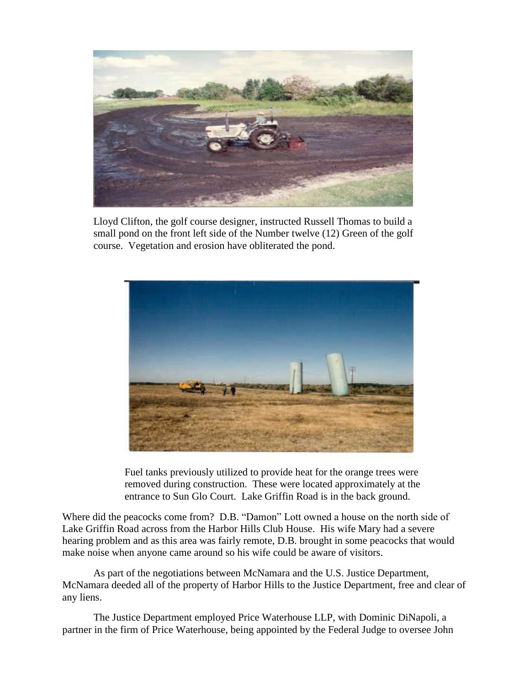

Lloyd Clifton, the golf course designer, instructed Russell Thomas to build a small pond on the front left side of the Number twelve (12) Green of the golf course. Vegetation and erosion have obliterated the pond.



 Fuel tanks previously utilized to provide heat for the orange trees were removed during construction. These were located approximately at the entrance to Sun Glo Court. Lake Griffin Road is in the back ground.

Where did the peacocks come from? D.B. "Damon" Lott owned a house on the north side of Lake Griffin Road across from the Harbor Hills Club House. His wife Mary had a severe hearing problem and as this area was fairly remote, D.B. brought in some peacocks that would make noise when anyone came around so his wife could be aware of visitors.

As part of the negotiations between McNamara and the U.S. Justice Department, McNamara deeded all of the property of Harbor Hills to the Justice Department, free and clear of any liens.

The Justice Department employed Price Waterhouse LLP, with Dominic DiNapoli, a partner in the firm of Price Waterhouse, being appointed by the Federal Judge to oversee John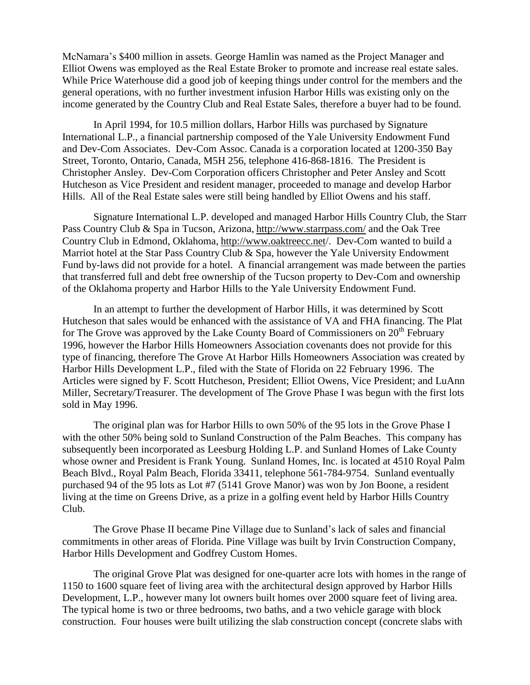McNamara's \$400 million in assets. George Hamlin was named as the Project Manager and Elliot Owens was employed as the Real Estate Broker to promote and increase real estate sales. While Price Waterhouse did a good job of keeping things under control for the members and the general operations, with no further investment infusion Harbor Hills was existing only on the income generated by the Country Club and Real Estate Sales, therefore a buyer had to be found.

In April 1994, for 10.5 million dollars, Harbor Hills was purchased by Signature International L.P., a financial partnership composed of the Yale University Endowment Fund and Dev-Com Associates. Dev-Com Assoc. Canada is a corporation located at 1200-350 Bay Street, Toronto, Ontario, Canada, M5H 256, telephone 416-868-1816. The President is Christopher Ansley. Dev-Com Corporation officers Christopher and Peter Ansley and Scott Hutcheson as Vice President and resident manager, proceeded to manage and develop Harbor Hills. All of the Real Estate sales were still being handled by Elliot Owens and his staff.

Signature International L.P. developed and managed Harbor Hills Country Club, the Starr Pass Country Club & Spa in Tucson, Arizona, http://www.starrpass.com/ and the Oak Tree Country Club in Edmond, Oklahoma, http://www.oaktreecc.net/. Dev-Com wanted to build a Marriot hotel at the Star Pass Country Club & Spa, however the Yale University Endowment Fund by-laws did not provide for a hotel. A financial arrangement was made between the parties that transferred full and debt free ownership of the Tucson property to Dev-Com and ownership of the Oklahoma property and Harbor Hills to the Yale University Endowment Fund.

In an attempt to further the development of Harbor Hills, it was determined by Scott Hutcheson that sales would be enhanced with the assistance of VA and FHA financing. The Plat for The Grove was approved by the Lake County Board of Commissioners on  $20<sup>th</sup>$  February 1996, however the Harbor Hills Homeowners Association covenants does not provide for this type of financing, therefore The Grove At Harbor Hills Homeowners Association was created by Harbor Hills Development L.P., filed with the State of Florida on 22 February 1996. The Articles were signed by F. Scott Hutcheson, President; Elliot Owens, Vice President; and LuAnn Miller, Secretary/Treasurer. The development of The Grove Phase I was begun with the first lots sold in May 1996.

The original plan was for Harbor Hills to own 50% of the 95 lots in the Grove Phase I with the other 50% being sold to Sunland Construction of the Palm Beaches. This company has subsequently been incorporated as Leesburg Holding L.P. and Sunland Homes of Lake County whose owner and President is Frank Young. Sunland Homes, Inc. is located at 4510 Royal Palm Beach Blvd., Royal Palm Beach, Florida 33411, telephone 561-784-9754. Sunland eventually purchased 94 of the 95 lots as Lot #7 (5141 Grove Manor) was won by Jon Boone, a resident living at the time on Greens Drive, as a prize in a golfing event held by Harbor Hills Country Club.

The Grove Phase II became Pine Village due to Sunland's lack of sales and financial commitments in other areas of Florida. Pine Village was built by Irvin Construction Company, Harbor Hills Development and Godfrey Custom Homes.

The original Grove Plat was designed for one-quarter acre lots with homes in the range of 1150 to 1600 square feet of living area with the architectural design approved by Harbor Hills Development, L.P., however many lot owners built homes over 2000 square feet of living area. The typical home is two or three bedrooms, two baths, and a two vehicle garage with block construction. Four houses were built utilizing the slab construction concept (concrete slabs with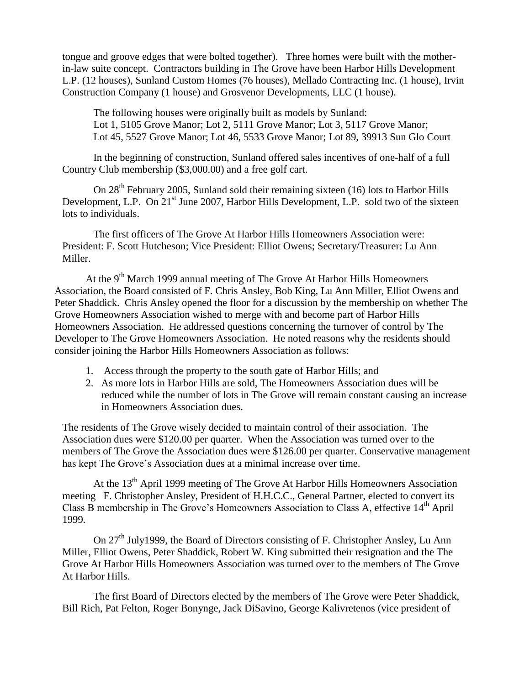tongue and groove edges that were bolted together). Three homes were built with the motherin-law suite concept. Contractors building in The Grove have been Harbor Hills Development L.P. (12 houses), Sunland Custom Homes (76 houses), Mellado Contracting Inc. (1 house), Irvin Construction Company (1 house) and Grosvenor Developments, LLC (1 house).

The following houses were originally built as models by Sunland: Lot 1, 5105 Grove Manor; Lot 2, 5111 Grove Manor; Lot 3, 5117 Grove Manor; Lot 45, 5527 Grove Manor; Lot 46, 5533 Grove Manor; Lot 89, 39913 Sun Glo Court

In the beginning of construction, Sunland offered sales incentives of one-half of a full Country Club membership (\$3,000.00) and a free golf cart.

On 28<sup>th</sup> February 2005, Sunland sold their remaining sixteen (16) lots to Harbor Hills Development, L.P. On 21<sup>st</sup> June 2007, Harbor Hills Development, L.P. sold two of the sixteen lots to individuals.

The first officers of The Grove At Harbor Hills Homeowners Association were: President: F. Scott Hutcheson; Vice President: Elliot Owens; Secretary/Treasurer: Lu Ann Miller.

At the  $9<sup>th</sup>$  March 1999 annual meeting of The Grove At Harbor Hills Homeowners Association, the Board consisted of F. Chris Ansley, Bob King, Lu Ann Miller, Elliot Owens and Peter Shaddick. Chris Ansley opened the floor for a discussion by the membership on whether The Grove Homeowners Association wished to merge with and become part of Harbor Hills Homeowners Association. He addressed questions concerning the turnover of control by The Developer to The Grove Homeowners Association. He noted reasons why the residents should consider joining the Harbor Hills Homeowners Association as follows:

- 1. Access through the property to the south gate of Harbor Hills; and
- 2. As more lots in Harbor Hills are sold, The Homeowners Association dues will be reduced while the number of lots in The Grove will remain constant causing an increase in Homeowners Association dues.

The residents of The Grove wisely decided to maintain control of their association. The Association dues were \$120.00 per quarter. When the Association was turned over to the members of The Grove the Association dues were \$126.00 per quarter. Conservative management has kept The Grove's Association dues at a minimal increase over time.

At the 13<sup>th</sup> April 1999 meeting of The Grove At Harbor Hills Homeowners Association meeting F. Christopher Ansley, President of H.H.C.C., General Partner, elected to convert its Class B membership in The Grove's Homeowners Association to Class A, effective 14<sup>th</sup> April 1999.

On 27<sup>th</sup> July1999, the Board of Directors consisting of F. Christopher Ansley, Lu Ann Miller, Elliot Owens, Peter Shaddick, Robert W. King submitted their resignation and the The Grove At Harbor Hills Homeowners Association was turned over to the members of The Grove At Harbor Hills.

The first Board of Directors elected by the members of The Grove were Peter Shaddick, Bill Rich, Pat Felton, Roger Bonynge, Jack DiSavino, George Kalivretenos (vice president of